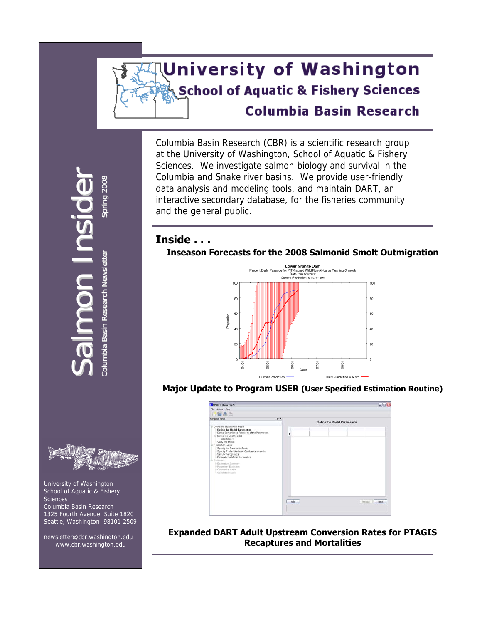# **University of Washington School of Aquatic & Fishery Sciences Columbia Basin Research**

Columbia Basin Research (CBR) is a scientific research group at the University of Washington, School of Aquatic & Fishery Sciences. We investigate salmon biology and survival in the Columbia and Snake river basins. We provide user-friendly data analysis and modeling tools, and maintain DART, an interactive secondary database, for the fisheries community and the general public.

# **Inside . . .**

### **Inseason Forecasts for the 2008 Salmonid Smolt Outmigration**



### **Major Update to Program USER (User Specified Estimation Routine)**



#### **Expanded DART Adult Upstream Conversion Rates for PTAGIS Recaptures and Mortalities**

 $\boldsymbol{\mathcal{S}}$ Colum bia prin g lumbia Basi



 University of Washington School of Aquatic & Fishery Sciences Columbia Basin Research 1325 Fourth Avenue, Suite 1820 Seattle, Washington 98101-2509

 newsletter@cbr.washington.edu [www.cbr.washington.edu](http://www.cbr.washington.edu/)

alm onn<br>In sid Bas niRese arch  $\overset{\mathtt{o}}{\mathtt{z}}$ wsletter S

 $\bigcirc$ r

2 008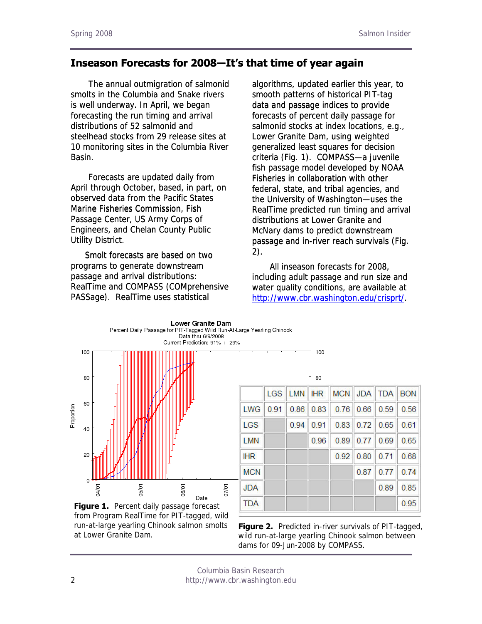# **Inseason Forecasts for 2008―It's that time of year again**

The annual outmigration of salmonid smolts in the Columbia and Snake rivers is well underway. In April, we began forecasting the run timing and arrival distributions of 52 salmonid and steelhead stocks from 29 release sites at 10 monitoring sites in the Columbia River Basin.

 Forecasts are updated daily from April through October, based, in part, on observed data from the Pacific States Marine Fisheries Commission, Fish Passage Center, US Army Corps of Engineers, and Chelan County Public Utility District.

Smolt forecasts are based on two programs to generate downstream passage and arrival distributions: RealTime and COMPASS (COMprehensive PASSage). RealTime uses statistical

algorithms, updated earlier this year, to smooth patterns of historical PIT-tag data and passage indices to provide forecasts of percent daily passage for salmonid stocks at index locations, e.g., Lower Granite Dam, using weighted generalized least squares for decision criteria (Fig. 1). COMPASS—a juvenile fish passage model developed by NOAA Fisheries in collaboration with other federal, state, and tribal agencies, and the University of Washington—uses the RealTime predicted run timing and arrival distributions at Lower Granite and McNary dams to predict downstream McNary dams to predict downstream passage and in-river reach survivals (Fig. 2). Instead of two and the same of the same of the same of the same of the same of the same of the same of the same of the same of the same of the same of the same of the same of the same of the same of the same of the sam  $2)$ .

 [All inseason forecasts for 2008,](http://www.cbr.washington.edu/crisprt/)  [including adult passage and run size and](http://www.cbr.washington.edu/crisprt/)  [water quality conditions, are available at](http://www.cbr.washington.edu/crisprt/)  [http://www.cbr.washington.edu/crisprt/.](http://www.cbr.washington.edu/crisprt/)



**Figure 1.** Percent daily passage forecast from Program RealTime for PIT-tagged, wild run-at-large yearling Chinook salmon smolts at Lower Granite Dam.

|            |            |      | 100        |            |            |            |            |
|------------|------------|------|------------|------------|------------|------------|------------|
|            |            |      | 80         |            |            |            |            |
|            | <b>LGS</b> | LMN  | <b>IHR</b> | <b>MCN</b> | <b>JDA</b> | <b>TDA</b> | <b>BON</b> |
| LWG        | 0.91       | 0.86 | 0.83       | 0.76       | 0.66       | 0.59       | 0.56       |
| LGS        |            | 0.94 | 0.91       | 0.83       | 0.72       | 0.65       | 0.61       |
| <b>LMN</b> |            |      | 0.96       | 0.89       | 0.77       | 0.69       | 0.65       |
| <b>IHR</b> |            |      |            | 0.92       | 0.80       | 0.71       | 0.68       |
| <b>MCN</b> |            |      |            |            | 0.87       | 0.77       | 0.74       |
| <b>JDA</b> |            |      |            |            |            | 0.89       | 0.85       |
| <b>TDA</b> |            |      |            |            |            |            | 0.95       |

**Figure 2.** Predicted in-river survivals of PIT-tagged, wild run-at-large yearling Chinook salmon between dams for 09-Jun-2008 by COMPASS.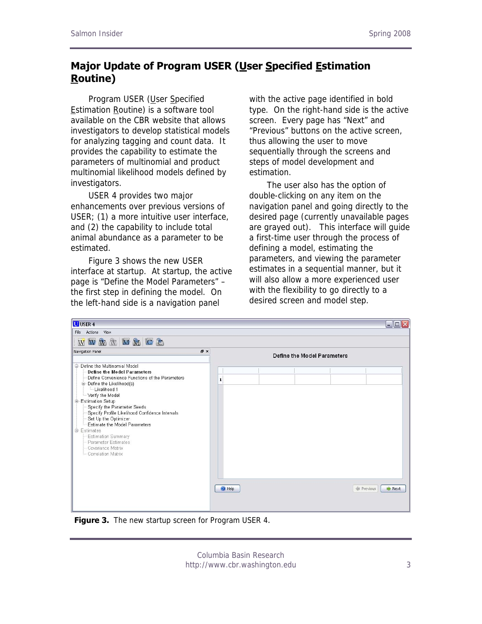# **Major Update of Program USER (User Specified Estimation Routine)**

 Program USER (User Specified Estimation Routine) is a software tool available on the CBR website that allows investigators to develop statistical models for analyzing tagging and count data. It provides the capability to estimate the parameters of multinomial and product multinomial likelihood models defined by investigators.

 USER 4 provides two major enhancements over previous versions of USER; (1) a more intuitive user interface, and (2) the capability to include total animal abundance as a parameter to be estimated.

 Figure 3 shows the new USER interface at startup. At startup, the active page is "Define the Model Parameters" – the first step in defining the model. On the left-hand side is a navigation panel

with the active page identified in bold type. On the right-hand side is the active screen. Every page has "Next" and "Previous" buttons on the active screen, thus allowing the user to move sequentially through the screens and steps of model development and estimation.

 The user also has the option of double-clicking on any item on the navigation panel and going directly to the desired page (currently unavailable pages are grayed out). This interface will guide a first-time user through the process of defining a model, estimating the parameters, and viewing the parameter estimates in a sequential manner, but it will also allow a more experienced user with the flexibility to go directly to a desired screen and model step.

| <b>U</b> USER 4                                                                                                                                                                                                                                                                                                                                                                                                                                                                         |                                   |                             | $\blacksquare$ $\blacksquare$ $\mathsf{X}$ |
|-----------------------------------------------------------------------------------------------------------------------------------------------------------------------------------------------------------------------------------------------------------------------------------------------------------------------------------------------------------------------------------------------------------------------------------------------------------------------------------------|-----------------------------------|-----------------------------|--------------------------------------------|
| File Actions View<br>WWWMMMGC                                                                                                                                                                                                                                                                                                                                                                                                                                                           |                                   |                             |                                            |
| Navigation Panel                                                                                                                                                                                                                                                                                                                                                                                                                                                                        | 日 ×                               | Define the Model Parameters |                                            |
| E-Define the Multinomial Model<br><b>Define the Model Parameters</b><br>Define Convenience Functions of the Parameters<br><b>Define the Likelihood(s)</b><br>-Likelihood 1<br>- Verify the Model<br>G-Estimation Setup<br>Specify the Parameter Seeds<br>Specify Profile Likelihood Confidence Intervals<br>Set Up the Optimizer<br>Estimate the Model Parameters<br><b>E</b> stimates<br><b>Estimation Summary</b><br>Parameter Estimates<br>- Covariance Matrix<br>Correlation Matrix | $\mathbf{1}$<br><sup>2</sup> Help |                             | <b>Frevious</b><br><b>Next</b>             |

**Figure 3.** The new startup screen for Program USER 4.

Columbia Basin Research http://www.cbr.washington.edu 3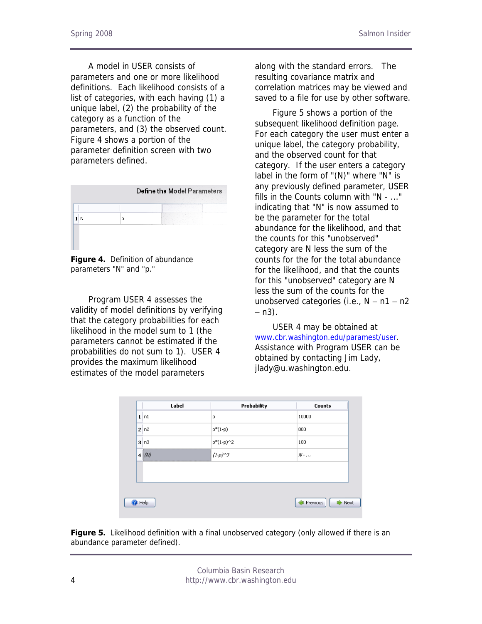A model in USER consists of parameters and one or more likelihood definitions. Each likelihood consists of a list of categories, with each having (1) a unique label, (2) the probability of the category as a function of the parameters, and (3) the observed count. Figure 4 shows a portion of the parameter definition screen with two parameters defined.



**Figure 4.** Definition of abundance parameters "N" and "p."

Program USER 4 assesses the validity of model definitions by verifying that the category probabilities for each likelihood in the model sum to 1 (the parameters cannot be estimated if the probabilities do not sum to 1). USER 4 provides the maximum likelihood estimates of the model parameters

along with the standard errors. The resulting covariance matrix and correlation matrices may be viewed and saved to a file for use by other software.

Figure 5 shows a portion of the subsequent likelihood definition page. For each category the user must enter a unique label, the category probability, and the observed count for that category. If the user enters a category label in the form of "(N)" where "N" is any previously defined parameter, USER fills in the Counts column with "N - ..." indicating that "N" is now assumed to be the parameter for the total abundance for the likelihood, and that the counts for this "unobserved" category are N less the sum of the counts for the for the total abundance for the likelihood, and that the counts for this "unobserved" category are N less the sum of the counts for the unobserved categories (i.e.,  $N - n1 - n2$ − n3).

 USER 4 may be obtained at [www.cbr.washington.edu/paramest/user.](http://www.cbr.washington.edu/paramest/user) Assistance with Program USER can be obtained by contacting Jim Lady, jlady@u.washington.edu.

| Label         | Probability        | <b>Counts</b>    |
|---------------|--------------------|------------------|
| $1 \nvert n1$ | P                  | 10000            |
| 2n2           | $p*(1-p)$          | 800              |
| 3n3           | $p*(1-p)\hat{ } 2$ | 100              |
| $4^{(N)}$     | $(1-p)^{3}$        | $N$ - $\ldots$   |
|               |                    |                  |
|               |                    |                  |
|               |                    |                  |
| Help          |                    | Previous<br>Next |

Figure 5. Likelihood definition with a final unobserved category (only allowed if there is an abundance parameter defined).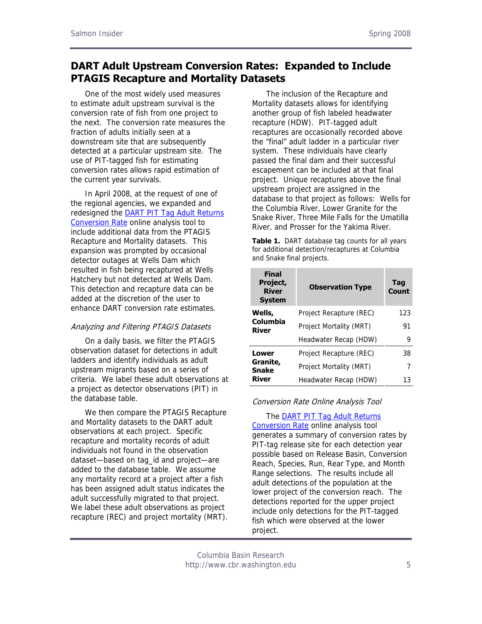### **DART Adult Upstream Conversion Rates: Expanded to Include PTAGIS Recapture and Mortality Datasets**

One of the most widely used measures to estimate adult upstream survival is the conversion rate of fish from one project to the next. The conversion rate measures the fraction of adults initially seen at a downstream site that are subsequently detected at a particular upstream site. The use of PIT-tagged fish for estimating conversion rates allows rapid estimation of the current year survivals.

In April 2008, at the request of one of the regional agencies, we expanded and redesigned the [DART PIT Tag Adult Returns](http://www.cbr.washington.edu/dart/pit_obs_adult_conrate.html)  [Conversion Rate](http://www.cbr.washington.edu/dart/pit_obs_adult_conrate.html) online analysis tool to include additional data from the PTAGIS Recapture and Mortality datasets. This expansion was prompted by occasional detector outages at Wells Dam which resulted in fish being recaptured at Wells Hatchery but not detected at Wells Dam. This detection and recapture data can be added at the discretion of the user to enhance DART conversion rate estimates.

#### Analyzing and Filtering PTAGIS Datasets

On a daily basis, we filter the PTAGIS observation dataset for detections in adult ladders and identify individuals as adult upstream migrants based on a series of criteria. We label these adult observations at a project as detector observations (PIT) in the database table.

We then compare the PTAGIS Recapture and Mortality datasets to the DART adult observations at each project. Specific recapture and mortality records of adult individuals not found in the observation dataset—based on tag\_id and project—are added to the database table. We assume any mortality record at a project after a fish has been assigned adult status indicates the adult successfully migrated to that project. We label these adult observations as project recapture (REC) and project mortality (MRT).

The inclusion of the Recapture and Mortality datasets allows for identifying another group of fish labeled headwater recapture (HDW). PIT-tagged adult recaptures are occasionally recorded above the "final" adult ladder in a particular river system. These individuals have clearly passed the final dam and their successful escapement can be included at that final project. Unique recaptures above the final upstream project are assigned in the database to that project as follows: Wells for the Columbia River, Lower Granite for the Snake River, Three Mile Falls for the Umatilla River, and Prosser for the Yakima River.

**Table 1.** DART database tag counts for all years for additional detection/recaptures at Columbia and Snake final projects.

| <b>Final</b><br>Project,<br><b>River</b><br><b>System</b> | <b>Observation Type</b> | <b>Tag</b><br>Count |
|-----------------------------------------------------------|-------------------------|---------------------|
| Wells,                                                    | Project Recapture (REC) | 123                 |
| Columbia<br>River                                         | Project Mortality (MRT) | 91                  |
|                                                           | Headwater Recap (HDW)   | 9                   |
| Lower                                                     | Project Recapture (REC) | 38                  |
| Granite,<br><b>Snake</b>                                  | Project Mortality (MRT) | 7                   |
| River                                                     | Headwater Recap (HDW)   | 13                  |

#### Conversion Rate Online Analysis Tool

#### The [DART PIT Tag Adult Returns](http://www.cbr.washington.edu/dart/pit_obs_adult_conrate.html)

[Conversion Rate](http://www.cbr.washington.edu/dart/pit_obs_adult_conrate.html) online analysis tool generates a summary of conversion rates by PIT-tag release site for each detection year possible based on Release Basin, Conversion Reach, Species, Run, Rear Type, and Month Range selections. The results include all adult detections of the population at the lower project of the conversion reach. The detections reported for the upper project include only detections for the PIT-tagged fish which were observed at the lower project.